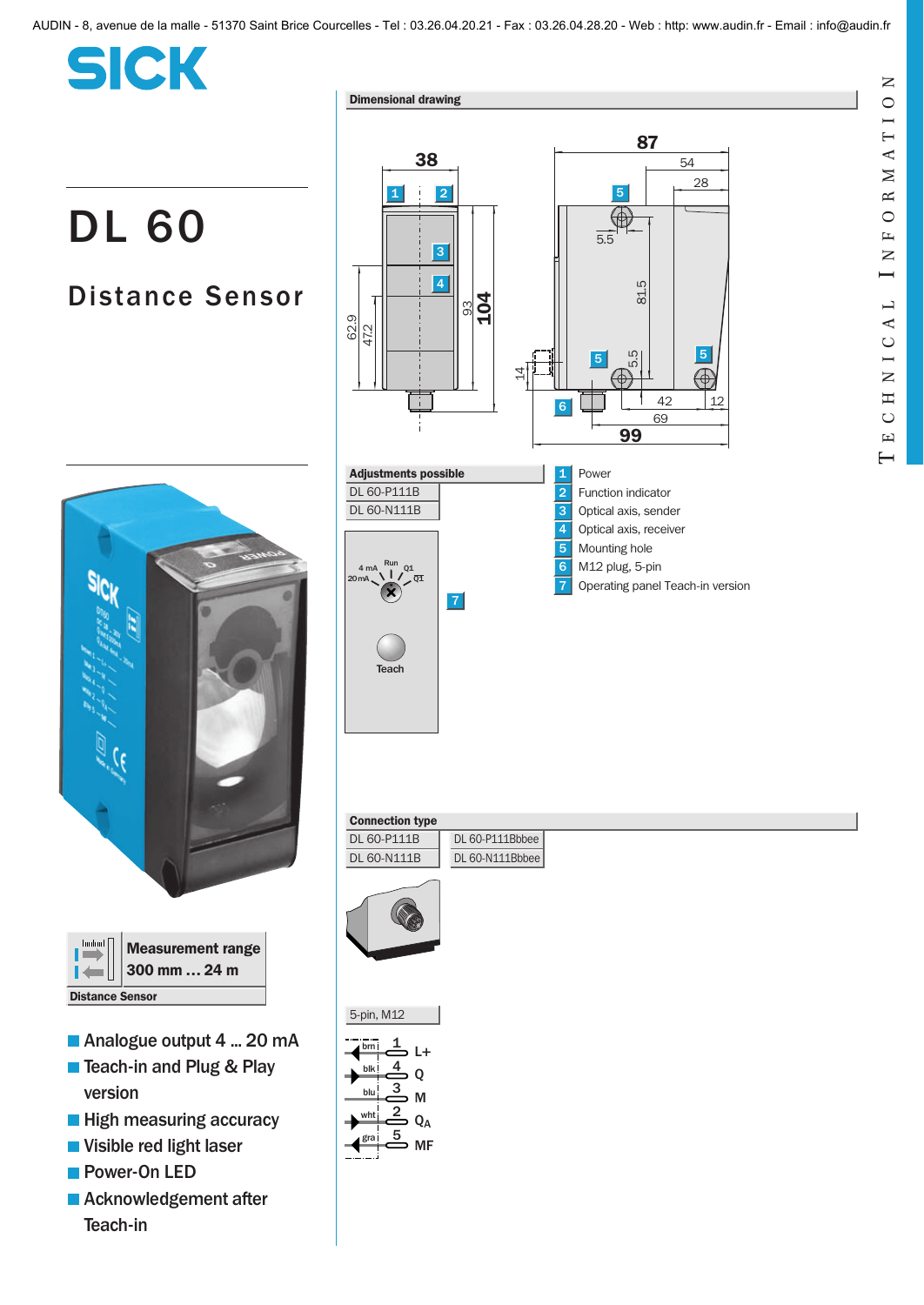|  | <b>Service Service</b> |
|--|------------------------|

## DL 60

## Distance Sensor







- Analogue output 4 ... 20 mA
- Teach-in and Plug & Play version
- **High measuring accuracy**
- Visible red light laser
- **Power-On LED**
- **Acknowledgement after** Teach-in



## Connection type

 $A$  m 20 mA







gra

MF

 $\mathbf{Z}$